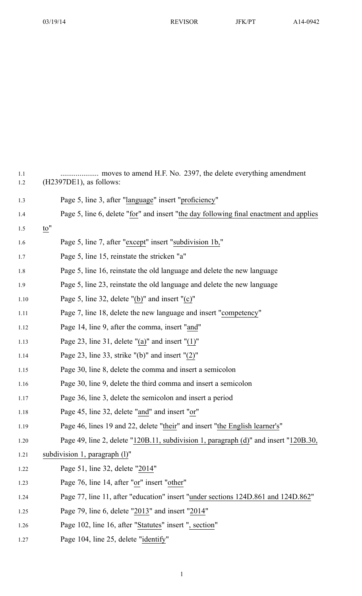03/19/14 REVISOR JFK/PT A14-0942

| 1.1<br>$1.2\,$ | moves to amend H.F. No. 2397, the delete everything amendment<br>$(H2397DE1)$ , as follows: |
|----------------|---------------------------------------------------------------------------------------------|
| 1.3            | Page 5, line 3, after "language" insert "proficiency"                                       |
| 1.4            | Page 5, line 6, delete "for" and insert "the day following final enactment and applies      |
| 1.5            | $\underline{\mathbf{to}}$ "                                                                 |
| 1.6            | Page 5, line 7, after "except" insert "subdivision 1b,"                                     |
| 1.7            | Page 5, line 15, reinstate the stricken "a"                                                 |
| 1.8            | Page 5, line 16, reinstate the old language and delete the new language                     |
| 1.9            | Page 5, line 23, reinstate the old language and delete the new language                     |
| 1.10           | Page 5, line 32, delete " $(b)$ " and insert " $(c)$ "                                      |
| 1.11           | Page 7, line 18, delete the new language and insert "competency"                            |
| 1.12           | Page 14, line 9, after the comma, insert "and"                                              |
| 1.13           | Page 23, line 31, delete " $(a)$ " and insert " $(1)$ "                                     |
| 1.14           | Page 23, line 33, strike " $(b)$ " and insert " $(2)$ "                                     |
| 1.15           | Page 30, line 8, delete the comma and insert a semicolon                                    |
| 1.16           | Page 30, line 9, delete the third comma and insert a semicolon                              |
| 1.17           | Page 36, line 3, delete the semicolon and insert a period                                   |
| 1.18           | Page 45, line 32, delete "and" and insert "or"                                              |
| 1.19           | Page 46, lines 19 and 22, delete "their" and insert "the English learner's"                 |
| 1.20           | Page 49, line 2, delete "120B.11, subdivision 1, paragraph (d)" and insert "120B.30,        |
| 1.21           | subdivision 1, paragraph $(l)$ "                                                            |
| 1.22           | Page 51, line 32, delete "2014"                                                             |
| 1.23           | Page 76, line 14, after "or" insert "other"                                                 |
| 1.24           | Page 77, line 11, after "education" insert "under sections 124D.861 and 124D.862"           |
| 1.25           | Page 79, line 6, delete "2013" and insert "2014"                                            |
| 1.26           | Page 102, line 16, after "Statutes" insert ", section"                                      |
| 1.27           | Page 104, line 25, delete "identify"                                                        |

1